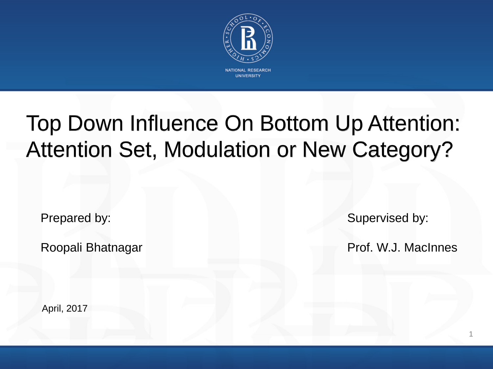

## Top Down Influence On Bottom Up Attention: Attention Set, Modulation or New Category?

Prepared by:

Roopali Bhatnagar

Supervised by:

Prof. W.J. MacInnes

April, 2017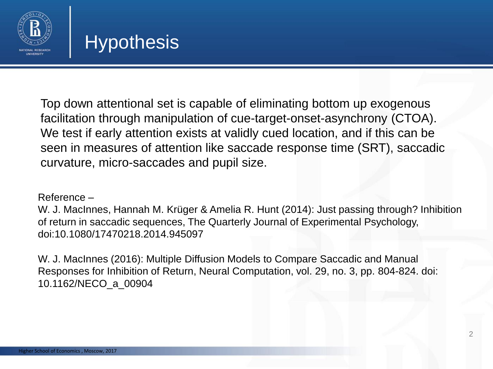

Top down attentional set is capable of eliminating bottom up exogenous facilitation through manipulation of cue-target-onset-asynchrony (CTOA). We test if early attention exists at validly cued location, and if this can be seen in measures of attention like saccade response time (SRT), saccadic curvature, micro-saccades and pupil size.

Reference –

W. J. MacInnes, Hannah M. Krüger & Amelia R. Hunt (2014): Just passing through? Inhibition of return in saccadic sequences, The Quarterly Journal of Experimental Psychology, doi:10.1080/17470218.2014.945097

W. J. MacInnes (2016): Multiple Diffusion Models to Compare Saccadic and Manual Responses for Inhibition of Return, Neural Computation, vol. 29, no. 3, pp. 804-824. doi: 10.1162/NECO\_a\_00904